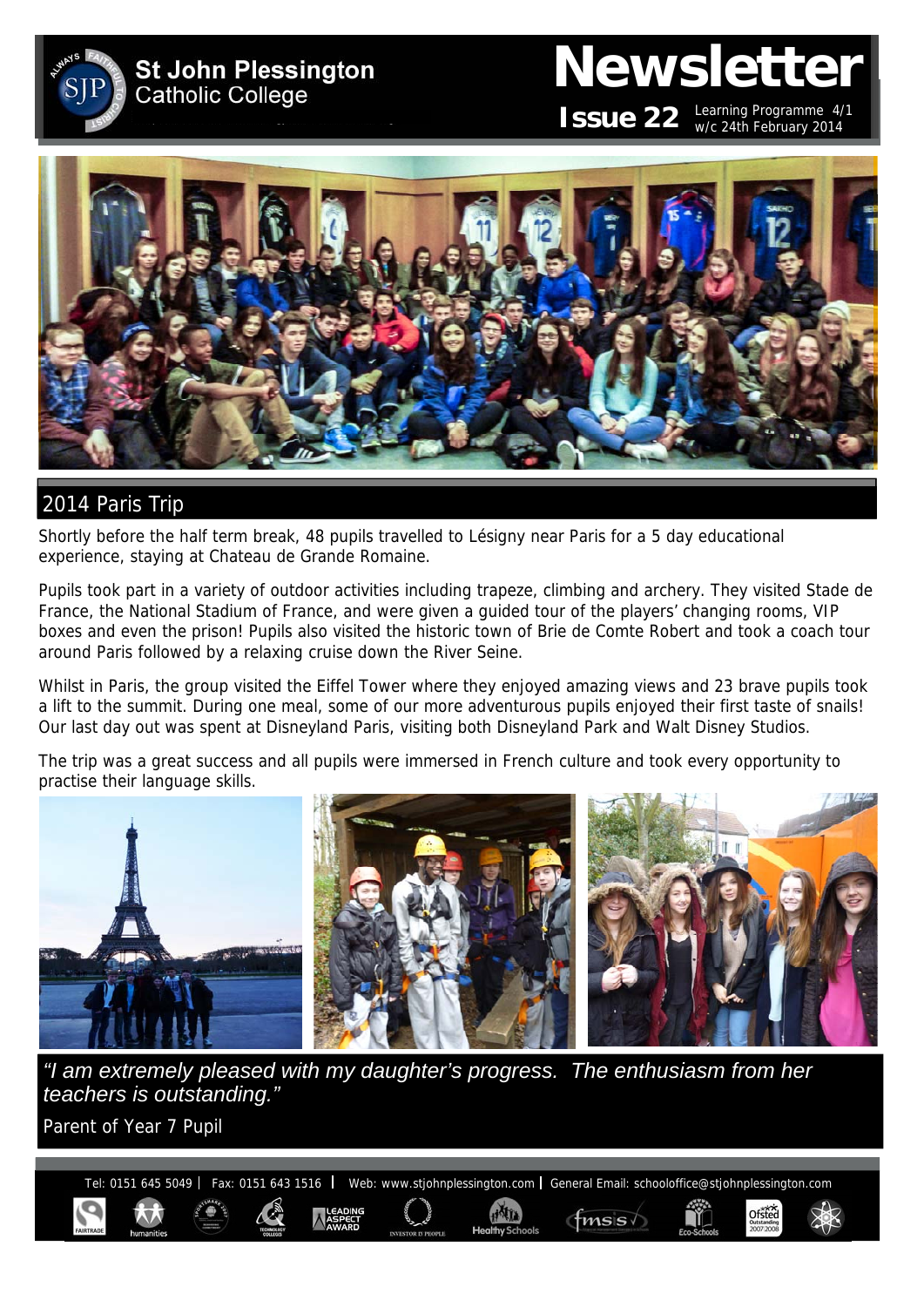

# **Newsletter ISSUE 22** Learning Programme 4/1

w/c 24th February 2014

Ofsted

 $f$ msis $\sqrt{ }$ 



# 2014 Paris Trip

Shortly before the half term break, 48 pupils travelled to Lésigny near Paris for a 5 day educational experience, staying at Chateau de Grande Romaine.

Pupils took part in a variety of outdoor activities including trapeze, climbing and archery. They visited Stade de France, the National Stadium of France, and were given a guided tour of the players' changing rooms, VIP boxes and even the prison! Pupils also visited the historic town of Brie de Comte Robert and took a coach tour around Paris followed by a relaxing cruise down the River Seine.

Whilst in Paris, the group visited the Eiffel Tower where they enjoyed amazing views and 23 brave pupils took a lift to the summit. During one meal, some of our more adventurous pupils enjoyed their first taste of snails! Our last day out was spent at Disneyland Paris, visiting both Disneyland Park and Walt Disney Studios.

The trip was a great success and all pupils were immersed in French culture and took every opportunity to practise their language skills.



*"I am extremely pleased with my daughter's progress. The enthusiasm from her teachers is outstanding."* 

Parent of Year 7 Pupil

Tel: 0151 645 5049 | Fax: 0151 643 1516 | Web: www.stjohnplessington.com | General Email: schooloffice@stjohnplessington.com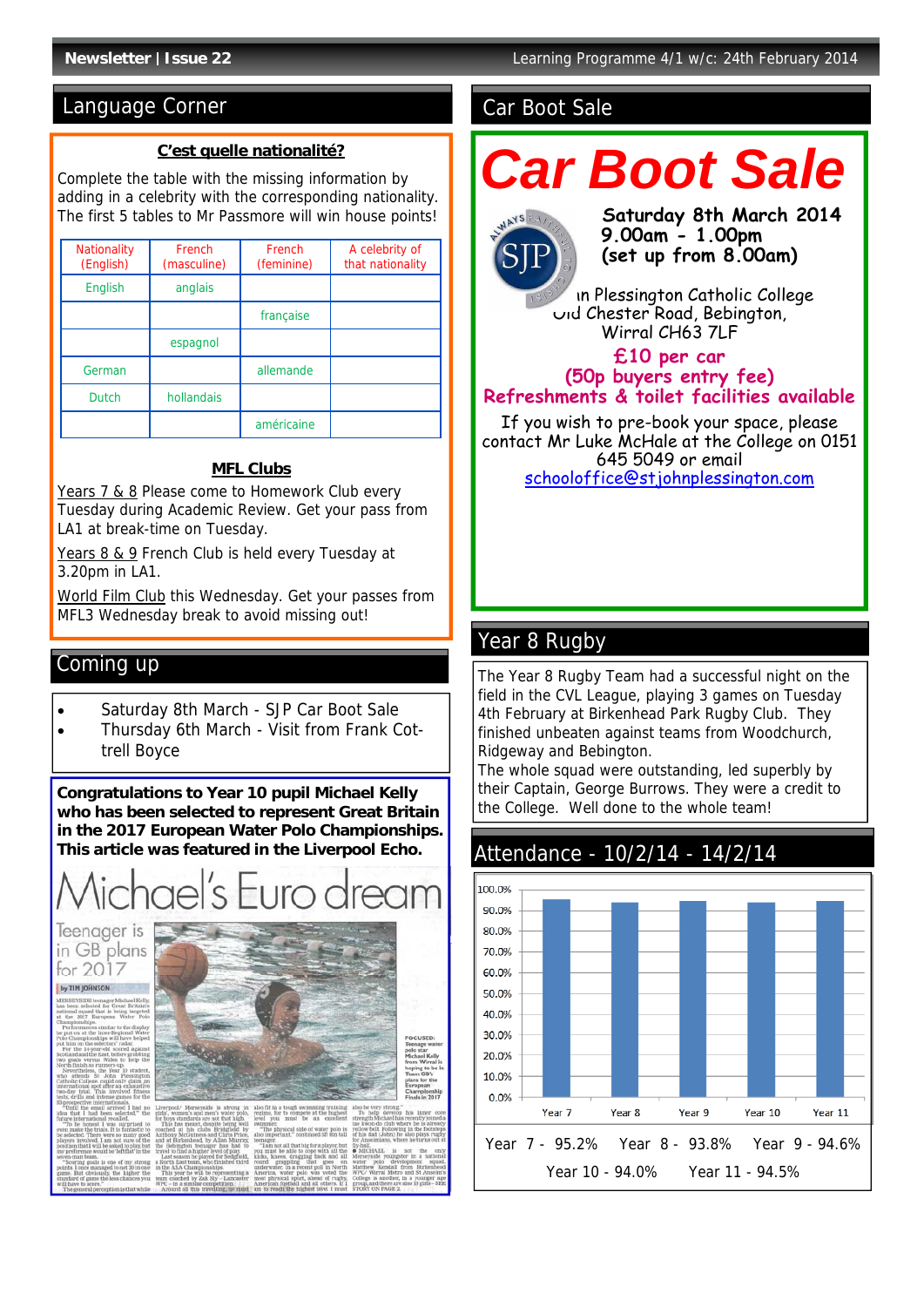# Language Corner Car Boot Sale

#### **C'est quelle nationalité?**

Complete the table with the missing information by adding in a celebrity with the corresponding nationality. The first 5 tables to Mr Passmore will win house points!

| <b>Nationality</b><br>(English) | French<br>(masculine) | French<br>(feminine) | A celebrity of<br>that nationality |
|---------------------------------|-----------------------|----------------------|------------------------------------|
| <b>English</b>                  | anglais               |                      |                                    |
|                                 |                       | francaise            |                                    |
|                                 | espagnol              |                      |                                    |
| German                          |                       | allemande            |                                    |
| <b>Dutch</b>                    | hollandais            |                      |                                    |
|                                 |                       | américaine           |                                    |

# **MFL Clubs**

Years 7 & 8 Please come to Homework Club every Tuesday during Academic Review. Get your pass from LA1 at break-time on Tuesday.

Years 8 & 9 French Club is held every Tuesday at 3.20pm in LA1.

World Film Club this Wednesday. Get your passes from MFL3 Wednesday break to avoid missing out!

# Coming up

- Saturday 8th March SJP Car Boot Sale
- Thursday 6th March Visit from Frank Cottrell Boyce

**Congratulations to Year 10 pupil Michael Kelly who has been selected to represent Great Britain in the 2017 European Water Polo Championships. This article was featured in the Liverpool Echo.** 

## Teenager is in GB plans for  $2017$

# by TIM JOHNSON

amens<br>lic Co

is runners-up<br>ss, the Year 10 student<br>St Johan Flessington<br>ege, could only claim an<br>spot after an exhaustive<br>This involved fitness<br>of interactionals<br>of interactionals haustive<br>! fitness<br>s for the

fit in a tough swimming training<br>ime, for to compete at the highest<br>I you must be an excellent The physical side of water polo is<br>| important," continued 5ft sin tall grag<br>ater.

ing a<br>aster

un.<br>U

# *Car Boot Sale*



 **Saturday 8th March 2014 9.00am - 1.00pm (set up from 8.00am)** 

In Plessington Catholic College UId Chester Road, Bebington, Wirral CH63 7LF

## **£10 per car (50p buyers entry fee) Refreshments & toilet facilities available**

If you wish to pre-book your space, please contact Mr Luke McHale at the College on 0151 645 5049 or email schooloffice@stjohnplessington.com

# Year 8 Rugby

The Year 8 Rugby Team had a successful night on the field in the CVL League, playing 3 games on Tuesday 4th February at Birkenhead Park Rugby Club. They finished unbeaten against teams from Woodchurch, Ridgeway and Bebington.

The whole squad were outstanding, led superbly by their Captain, George Burrows. They were a credit to the College. Well done to the whole team!

# Attendance - 10/2/14 - 14/2/14

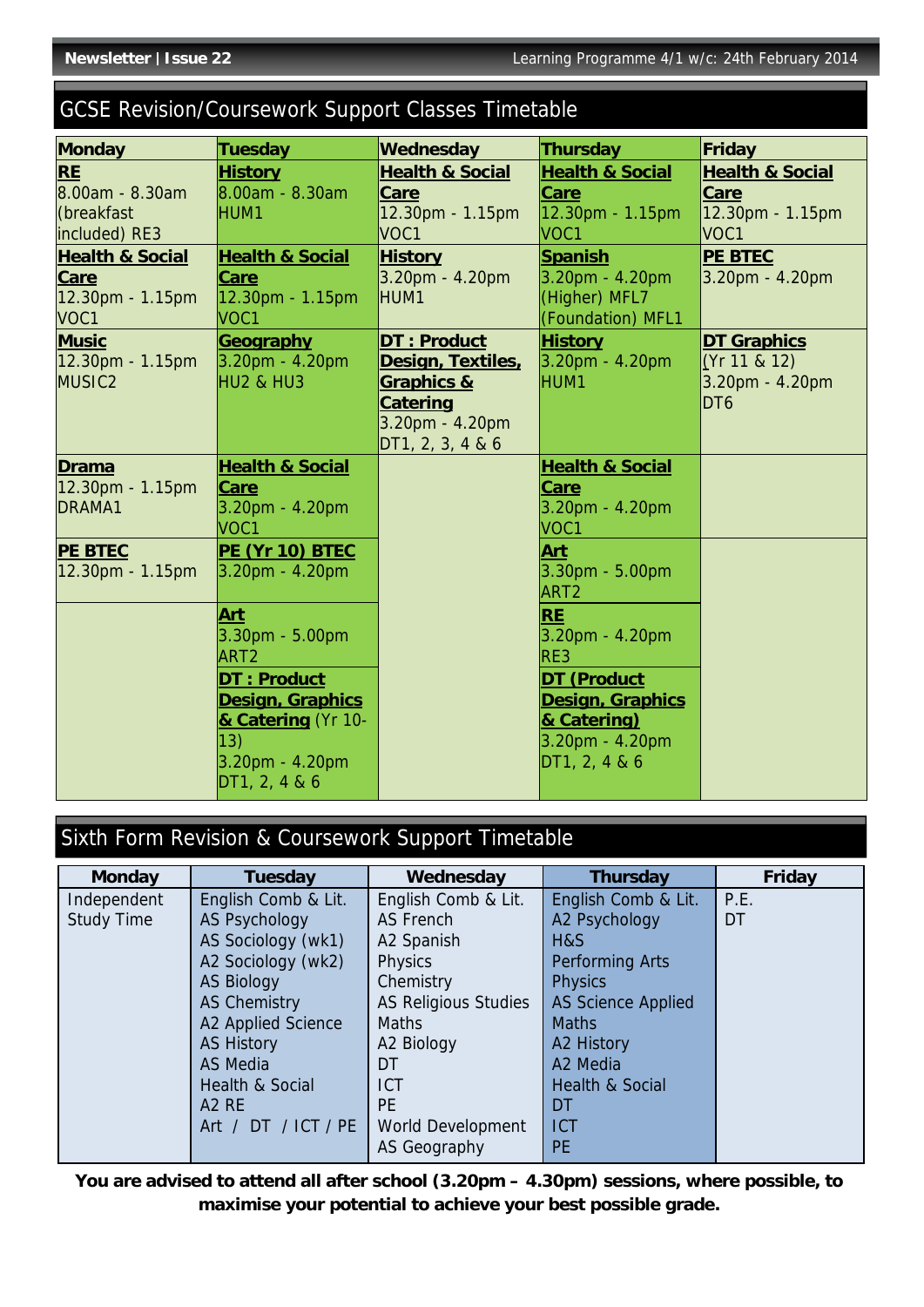# GCSE Revision/Coursework Support Classes Timetable

| <b>Monday</b>                    | Tuesday                                   | Wednesday                  | <b>Thursday</b>                    | Friday                     |
|----------------------------------|-------------------------------------------|----------------------------|------------------------------------|----------------------------|
| <b>RE</b>                        | <b>History</b>                            | <b>Health &amp; Social</b> | <b>Health &amp; Social</b>         | <b>Health &amp; Social</b> |
| 8.00am - 8.30am                  | 8.00am - 8.30am                           | Care                       | Care                               | Care                       |
| (breakfast                       | HUM1                                      | 12.30pm - 1.15pm           | 12.30pm - 1.15pm                   | 12.30pm - 1.15pm           |
| included) RE3                    |                                           | VOC1                       | VOC1                               | VOC1                       |
| <b>Health &amp; Social</b>       | <b>Health &amp; Social</b>                | <b>History</b>             | <b>Spanish</b>                     | <b>PE BTEC</b>             |
| <b>Care</b>                      | <b>Care</b>                               | 3.20pm - 4.20pm            | 3.20pm - 4.20pm                    | 3.20pm - 4.20pm            |
| 12.30pm - 1.15pm                 | 12.30pm - 1.15pm                          | HUM1                       | (Higher) MFL7                      |                            |
| VOC1                             | VOC <sub>1</sub>                          |                            | (Foundation) MFL1                  |                            |
| <b>Music</b>                     | Geography                                 | DT: Product                | <b>History</b>                     | <b>DT Graphics</b>         |
| $12.30pm - 1.15pm$               | $3.20pm - 4.20pm$                         | Design, Textiles,          | 3.20pm - 4.20pm                    | (Yr 11 & 12)               |
| MUSIC <sub>2</sub>               | HU2 & HU3                                 | <b>Graphics &amp;</b>      | HUM1                               | 3.20pm - 4.20pm            |
|                                  |                                           | <b>Catering</b>            |                                    | DT <sub>6</sub>            |
|                                  |                                           | 3.20pm - 4.20pm            |                                    |                            |
|                                  |                                           | DT1, 2, 3, 4 & 6           |                                    |                            |
| <b>Drama</b><br>12.30pm - 1.15pm | <b>Health &amp; Social</b><br><b>Care</b> |                            | <b>Health &amp; Social</b><br>Care |                            |
| DRAMA1                           | $3.20pm - 4.20pm$                         |                            | 3.20pm - 4.20pm                    |                            |
|                                  | VOC <sub>1</sub>                          |                            | VOC <sub>1</sub>                   |                            |
| <b>PE BTEC</b>                   | PE (Yr 10) BTEC                           |                            | <b>Art</b>                         |                            |
| 12.30pm - 1.15pm                 | $3.20pm - 4.20pm$                         |                            | 3.30pm - 5.00pm                    |                            |
|                                  |                                           |                            | ART <sub>2</sub>                   |                            |
|                                  | <b>Art</b>                                |                            | <b>RE</b>                          |                            |
|                                  | $3.30pm - 5.00pm$                         |                            | 3.20pm - 4.20pm                    |                            |
|                                  | ART <sub>2</sub>                          |                            | RE3                                |                            |
|                                  | <b>DT: Product</b>                        |                            | <b>DT (Product</b>                 |                            |
|                                  | <b>Design, Graphics</b>                   |                            | <b>Design, Graphics</b>            |                            |
|                                  | & Catering (Yr 10-                        |                            | & Catering)                        |                            |
|                                  | $ 13\rangle$                              |                            | 3.20pm - 4.20pm                    |                            |
|                                  | $3.20pm - 4.20pm$                         |                            | DT1, 2, 4 & 6                      |                            |
|                                  | DT1, 2, 486                               |                            |                                    |                            |

# Sixth Form Revision & Coursework Support Timetable

| <b>Monday</b>     | <b>Tuesday</b>      | Wednesday                   | <b>Thursday</b>            | Friday |
|-------------------|---------------------|-----------------------------|----------------------------|--------|
| Independent       | English Comb & Lit. | English Comb & Lit.         | English Comb & Lit.        | P.E.   |
| <b>Study Time</b> | AS Psychology       | AS French                   | A2 Psychology              | DT     |
|                   | AS Sociology (wk1)  | A2 Spanish                  | H&S                        |        |
|                   | A2 Sociology (wk2)  | <b>Physics</b>              | Performing Arts            |        |
|                   | <b>AS Biology</b>   | Chemistry                   | <b>Physics</b>             |        |
|                   | <b>AS Chemistry</b> | <b>AS Religious Studies</b> | <b>AS Science Applied</b>  |        |
|                   | A2 Applied Science  | <b>Maths</b>                | <b>Maths</b>               |        |
|                   | <b>AS History</b>   | A2 Biology                  | A2 History                 |        |
|                   | AS Media            | DT                          | A <sub>2</sub> Media       |        |
|                   | Health & Social     | <b>ICT</b>                  | <b>Health &amp; Social</b> |        |
|                   | A <sub>2</sub> RE   | <b>PE</b>                   | DT                         |        |
|                   | Art / DT / ICT / PE | World Development           | <b>ICT</b>                 |        |
|                   |                     | AS Geography                | <b>PE</b>                  |        |

**You are advised to attend all after school (3.20pm – 4.30pm) sessions, where possible, to maximise your potential to achieve your best possible grade.**